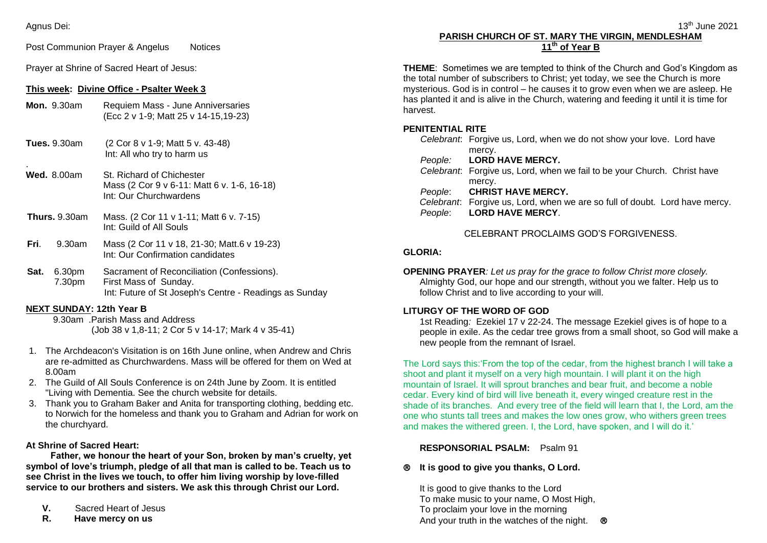#### Agnus Dei:

Post Communion Prayer & Angelus Notices

Prayer at Shrine of Sacred Heart of Jesus:

#### **This week: Divine Office - Psalter Week 3**

| <b>Mon.</b> 9.30am | Requiem Mass - June Anniversaries    |
|--------------------|--------------------------------------|
|                    | (Ecc 2 v 1-9; Matt 25 v 14-15,19-23) |

- **Tues.** 9.30am (2 Cor 8 v 1-9; Matt 5 v. 43-48) Int: All who try to harm us
- . **Wed.** 8.00am St. Richard of Chichester Mass (2 Cor 9 v 6-11: Matt 6 v. 1-6, 16-18) Int: Our Churchwardens
- **Thurs.** 9.30am Mass. (2 Cor 11 v 1-11; Matt 6 v. 7-15) Int: Guild of All Souls
- **Fri**. 9.30am Mass (2 Cor 11 v 18, 21-30; Matt.6 v 19-23) Int: Our Confirmation candidates
- **Sat.** 6.30pm Sacrament of Reconciliation (Confessions). 7.30pm First Mass of Sunday. Int: Future of St Joseph's Centre - Readings as Sunday

## **NEXT SUNDAY: 12th Year B**

9.30am . Parish Mass and Address (Job 38 v 1,8-11; 2 Cor 5 v 14-17; Mark 4 v 35-41)

- 1. The Archdeacon's Visitation is on 16th June online, when Andrew and Chris are re-admitted as Churchwardens. Mass will be offered for them on Wed at 8.00am
- 2. The Guild of All Souls Conference is on 24th June by Zoom. It is entitled "Living with Dementia. See the church website for details.
- 3. Thank you to Graham Baker and Anita for transporting clothing, bedding etc. to Norwich for the homeless and thank you to Graham and Adrian for work on the churchyard.

## **At Shrine of Sacred Heart:**

**Father, we honour the heart of your Son, broken by man's cruelty, yet symbol of love's triumph, pledge of all that man is called to be. Teach us to see Christ in the lives we touch, to offer him living worship by love-filled service to our brothers and sisters. We ask this through Christ our Lord.**

- **V.** Sacred Heart of Jesus
- **R. Have mercy on us**

# **PARISH CHURCH OF ST. MARY THE VIRGIN, MENDLESHAM 11th of Year B**

**THEME**: Sometimes we are tempted to think of the Church and God's Kingdom as the total number of subscribers to Christ; yet today, we see the Church is more mysterious. God is in control – he causes it to grow even when we are asleep. He has planted it and is alive in the Church, watering and feeding it until it is time for harvest.

#### **PENITENTIAL RITE**

|         | Celebrant. Forgive us, Lord, when we do not show your love. Lord have       |
|---------|-----------------------------------------------------------------------------|
|         | mercy.                                                                      |
|         | People: LORD HAVE MERCY.                                                    |
|         | Celebrant: Forgive us, Lord, when we fail to be your Church. Christ have    |
|         | mercy.                                                                      |
|         | People: CHRIST HAVE MERCY.                                                  |
|         | Celebrant: Forgive us, Lord, when we are so full of doubt. Lord have mercy. |
| People: | <b>LORD HAVE MERCY.</b>                                                     |
|         |                                                                             |

## CELEBRANT PROCLAIMS GOD'S FORGIVENESS.

## **GLORIA:**

**OPENING PRAYER***: Let us pray for the grace to follow Christ more closely.* Almighty God, our hope and our strength, without you we falter. Help us to follow Christ and to live according to your will.

## **LITURGY OF THE WORD OF GOD**

1st Reading*:* Ezekiel 17 v 22-24. The message Ezekiel gives is of hope to a people in exile. As the cedar tree grows from a small shoot, so God will make a new people from the remnant of Israel.

The Lord says this:'From the top of the cedar, from the highest branch I will take a shoot and plant it myself on a very high mountain. I will plant it on the high mountain of Israel. It will sprout branches and bear fruit, and become a noble cedar. Every kind of bird will live beneath it, every winged creature rest in the shade of its branches. And every tree of the field will learn that I, the Lord, am the one who stunts tall trees and makes the low ones grow, who withers green trees and makes the withered green. I, the Lord, have spoken, and I will do it.'

# **RESPONSORIAL PSALM:** Psalm 91

## **It is good to give you thanks, O Lord.**

It is good to give thanks to the Lord To make music to your name, O Most High, To proclaim your love in the morning And your truth in the watches of the night.  $\otimes$